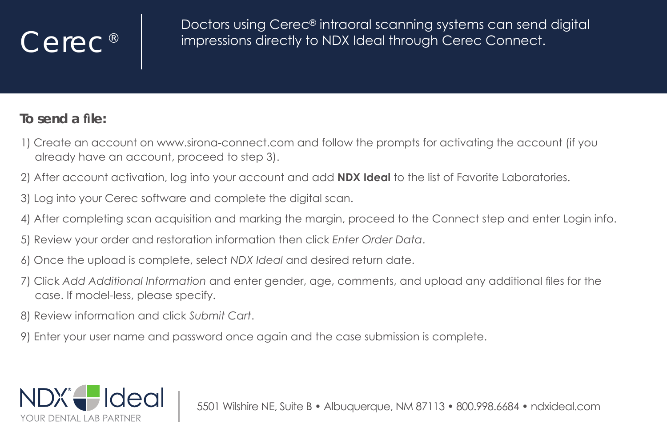## Cerec<sup>®</sup>

Doctors using Cerec® intraoral scanning systems can send digital impressions directly to NDX Ideal through Cerec Connect.

## To send a file:

- 1) Create an account on www.sirona-connect.com and follow the prompts for activatina the account (if you already have an account, proceed to step 3).
- 2) After account activation, log into your account and add **NDX Ideal** to the list of Favorite Laboratories.
- 3) Log into your Cerec software and complete the digital scan.
- 4) After completing scan acquisition and marking the margin, proceed to the Connect step and enter Login info.
- 5) Review your order and restoration information then click Enter Order Data.
- 6) Once the upload is complete, select NDX Ideal and desired return date.
- 7) Click Add Additional Information and enter gender, age, comments, and upload any additional files for the case. If model-less, please specify.
- 8) Review information and click Submit Cart.
- 9) Enter vour user name and password once again and the case submission is complete.